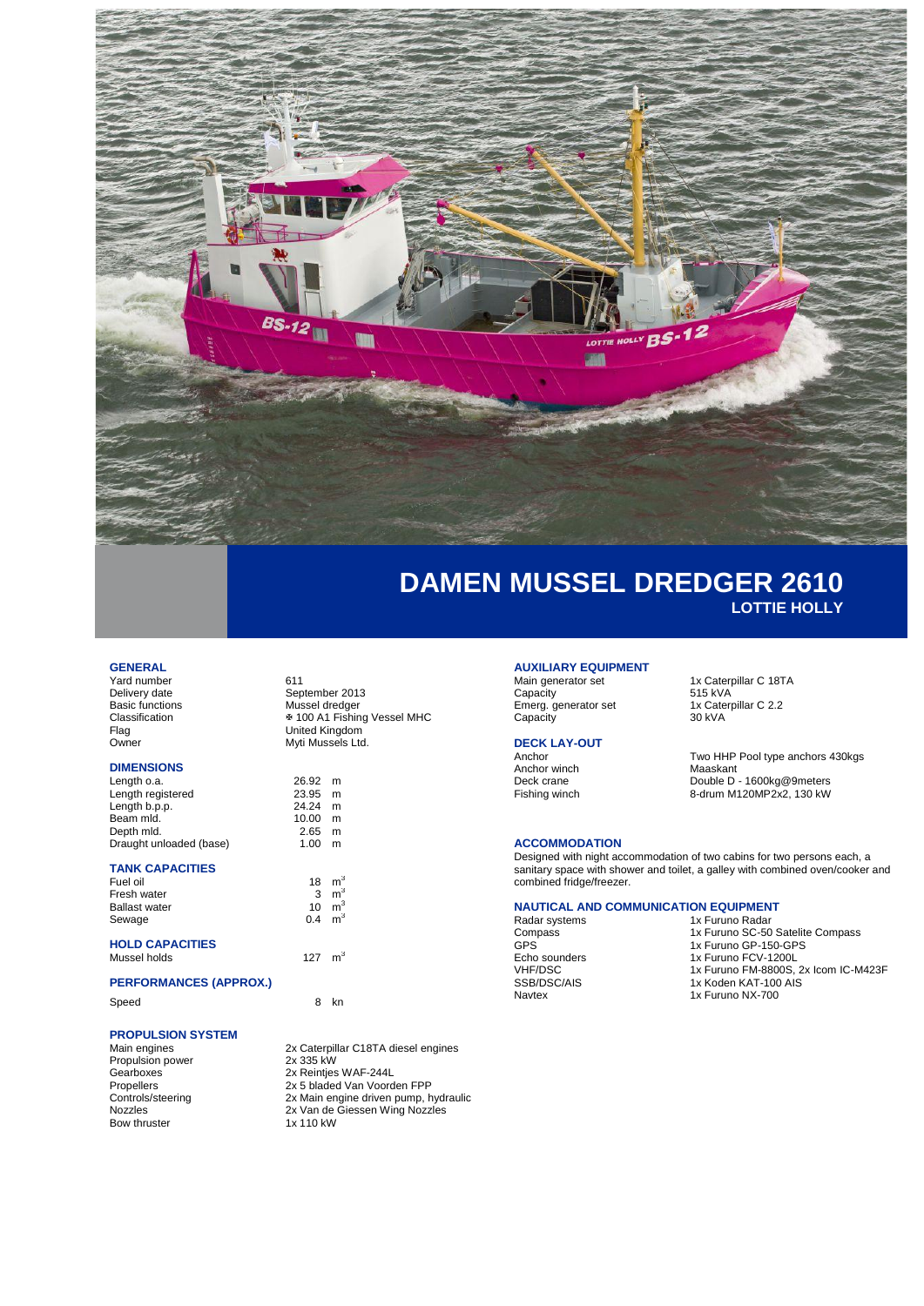

### **GENERAL**

Yard number<br>Delivery date 611<br>Sep Delivery date September 2013<br>Basic functions Mussel dredger Basic functions Mussel dredger<br>Classification <br>  $\frac{1}{2}$  100 A1 Fishin Classification 100 A1 Fishing Vessel MHC Flag United Kingdom<br>
Nuti Mussels I to

### **DIMENSIONS**

| Length o.a.             |  |
|-------------------------|--|
| Length registered       |  |
| Length b.p.p.           |  |
| Beam mld.               |  |
| Depth mld.              |  |
| Draught unloaded (base) |  |

### **TANK CAPACITIES**

| Fuel oil             | 18  | m |
|----------------------|-----|---|
| Fresh water          | 3   | m |
| <b>Ballast water</b> | 10  | m |
| Sewage               | 0.4 | m |
|                      |     |   |

#### **HOLD CAPACITIES** Mussel holds

### **PERFORMANCES (APPROX.)**

Speed 8 kn

### **PROPULSION SYSTEM**

| Main engines      | 2x Caterpillar C18TA diesel engines   |
|-------------------|---------------------------------------|
| Propulsion power  | 2x 335 kW                             |
| Gearboxes         | 2x Reinties WAF-244L                  |
| Propellers        | 2x 5 bladed Van Voorden FPP           |
| Controls/steering | 2x Main engine driven pump, hydraulic |
| <b>Nozzles</b>    | 2x Van de Giessen Wing Nozzles        |
| Bow thruster      | 1x 110 kW                             |
|                   |                                       |

Myti Mussels Ltd.

3

3

 $\rm m^3$ 

 $m<sup>3</sup>$ 

127  $m^3$ 

26.92 m  $23.95$  m  $24.24$  m<br>10.00 m  $\begin{matrix} 10.00 & m \\ 2.65 & m \end{matrix}$  $2.65$  m<br>1.00 m  $1.00$ 

## **AUXILIARY EQUIPMENT**

Capacity 515 kVA<br>Emerg. generator set 1x Caterpillar C 2.2 Emerg. generator set 1x Cate<br>Capacity 30 kVA Capacity

# **DECK LAY-OUT**

Anchor winch<br>Deck crane Deck crane Double D - 1600kg@9meters Fishing winch 8-drum M120MP2x2, 130 kW

#### **ACCOMMODATION**

Designed with night accommodation of two cabins for two persons each, a sanitary space with shower and toilet, a galley with combined oven/cooker and combined fridge/freezer.

1x Caterpillar C 18TA<br>515 kVA

Two HHP Pool type anchors 430kgs<br>Maaskant

### **NAUTICAL AND COMMUNICATION EQUIPMENT**

Radar systems 1x Furuno Radar Compass 1x Furuno SC-50 Satelite Compass GPS 1x Furuno GP-150-GPS Echo sounders<br>
The School School of the School of The School of The School of the School of the School of the School of The School of The School of The School of The School of The School of The School of The School of The 1x Furuno FM-8800S, 2x Icom IC-M423F SSB/DSC/AIS 1x Koden KAT-100 AIS<br>Navtex 1x Furuno NX-700 1x Furuno NX-700